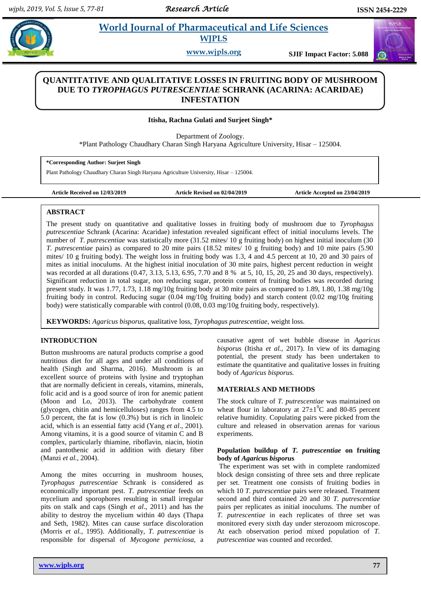$\omega$ 

# **Paramaceutical and Life Sciences WJPLS**

**www.wjpls.org SJIF Impact Factor: 5.088**

# **QUANTITATIVE AND QUALITATIVE LOSSES IN FRUITING BODY OF MUSHROOM DUE TO** *TYROPHAGUS PUTRESCENTIAE* **SCHRANK (ACARINA: ACARIDAE) INFESTATION**

### **Itisha, Rachna Gulati and Surjeet Singh\***

Department of Zoology.

\*Plant Pathology Chaudhary Charan Singh Haryana Agriculture University, Hisar – 125004.

**\*Corresponding Author: Surjeet Singh**

Plant Pathology Chaudhary Charan Singh Haryana Agriculture University, Hisar – 125004.

**Article Received on 12/03/2019 Article Revised on 02/04/2019 Article Accepted on 23/04/2019**

#### **ABSTRACT**

The present study on quantitative and qualitative losses in fruiting body of mushroom due to *Tyrophagus putrescentiae* Schrank (Acarina: Acaridae) infestation revealed significant effect of initial inoculums levels. The number of *T. putrescentiae* was statistically more (31.52 mites/ 10 g fruiting body) on highest initial inoculum (30 *T. putrescentiae* pairs) as compared to 20 mite pairs (18.52 mites/ 10 g fruiting body) and 10 mite pairs (5.90 mites/ 10 g fruiting body). The weight loss in fruiting body was 1.3, 4 and 4.5 percent at 10, 20 and 30 pairs of mites as initial inoculums. At the highest initial inoculation of 30 mite pairs, highest percent reduction in weight was recorded at all durations (0.47, 3.13, 5.13, 6.95, 7.70 and 8 % at 5, 10, 15, 20, 25 and 30 days, respectively). Significant reduction in total sugar, non reducing sugar, protein content of fruiting bodies was recorded during present study. It was 1.77, 1.73, 1.18 mg/10g fruiting body at 30 mite pairs as compared to 1.89, 1.80, 1.38 mg/10g fruiting body in control. Reducing sugar (0.04 mg/10g fruiting body) and starch content (0.02 mg/10g fruiting body) were statistically comparable with control (0.08, 0.03 mg/10g fruiting body, respectively).

**KEYWORDS:** *Agaricus bisporus,* qualitative loss, *Tyrophagus putrescentiae*, weight loss.

# **INTRODUCTION**

Button mushrooms are natural products comprise a good nutritious diet for all ages and under all conditions of health (Singh and Sharma, 2016). Mushroom is an excellent source of proteins with lysine and tryptophan that are normally deficient in cereals, vitamins, minerals, folic acid and is a good source of iron for anemic patient (Moon and Lo, 2013). The carbohydrate content (glycogen, chitin and hemicelluloses) ranges from 4.5 to 5.0 percent, the fat is low (0.3%) but is rich in linoleic acid, which is an essential fatty acid (Yang *et al*., 2001). Among vitamins, it is a good source of vitamin C and B complex, particularly thiamine, riboflavin, niacin, biotin and pantothenic acid in addition with dietary fiber (Manzi *et al.,* 2004).

Among the mites occurring in mushroom houses, *Tyrophagus putrescentiae* Schrank is considered as economically important pest. *T. putrescentiae* feeds on mycelium and sporophores resulting in small irregular pits on stalk and caps (Singh *et al*., 2011) and has the ability to destroy the mycelium within 40 days (Thapa and Seth, 1982). Mites can cause surface discoloration (Morris *et al.,* 1995). Additionally, *T. putrescentiae* is responsible for dispersal of *Mycogone perniciosa,* a causative agent of wet bubble disease in *Agaricus bisporus* (Itisha *et al.,* 2017). In view of its damaging potential, the present study has been undertaken to estimate the quantitative and qualitative losses in fruiting body of *Agaricus bisporus.*

#### **MATERIALS AND METHODS**

The stock culture of *T. putrescentiae* was maintained on wheat flour in laboratory at  $27\pm1\textsuperscript{0}C$  and 80-85 percent relative humidity. Copulating pairs were picked from the culture and released in observation arenas for various experiments.

#### **Population buildup of** *T. putrescentiae* **on fruiting body of** *Agaric***us** *bisporu***s**

The experiment was set with in complete randomized block design consisting of three sets and three replicate per set. Treatment one consists of fruiting bodies in which 10 *T. putrescentiae* pairs were released. Treatment second and third contained 20 and 30 *T. putrescentiae* pairs per replicates as initial inoculums. The number of *T. putrescentiae* in each replicates of three set was monitored every sixth day under sterozoom microscope. At each observation period mixed population of *T. putrescentiae* was counted and recorded.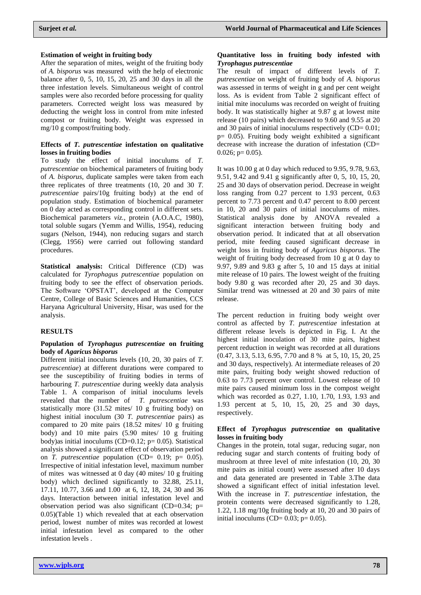#### **Estimation of weight in fruiting body**

After the separation of mites, weight of the fruiting body of *A. bisporus* was measured with the help of electronic balance after 0, 5, 10, 15, 20, 25 and 30 days in all the three infestation levels. Simultaneous weight of control samples were also recorded before processing for quality parameters. Corrected weight loss was measured by deducting the weight loss in control from mite infested compost or fruiting body. Weight was expressed in mg/10 g compost/fruiting body.

#### **Effects of** *T. putrescentiae* **infestation on qualitative losses in fruiting bodies**

To study the effect of initial inoculums of *T. putrescentiae* on biochemical parameters of fruiting body of *A. bisporus,* duplicate samples were taken from each three replicates of three treatments (10, 20 and 30 *T. putrescentiae* pairs/10g fruiting body) at the end of population study. Estimation of biochemical parameter on 0 day acted as corresponding control in different sets. Biochemical parameters *viz.*, protein (A.O.A.C, 1980), total soluble sugars (Yemm and Willis, 1954), reducing sugars (Nelson, 1944), non reducing sugars and starch (Clegg, 1956) were carried out following standard procedures.

**Statistical analysis:** Critical Difference (CD) was calculated for *Tyrophagus putrescentiae* population on fruiting body to see the effect of observation periods. The Software 'OPSTAT', developed at the Computer Centre, College of Basic Sciences and Humanities, CCS Haryana Agricultural University, Hisar, was used for the analysis.

#### **RESULTS**

#### **Population of** *Tyrophagus putrescentiae* **on fruiting body of** *Agaricus bisporus*

Different initial inoculums levels (10, 20, 30 pairs of *T. putrescentiae*) at different durations were compared to see the susceptibility of fruiting bodies in terms of harbouring *T. putrescentiae* during weekly data analysis Table 1*.* A comparison of initial inoculums levels revealed that the number of *T. putrescentiae* was statistically more (31.52 mites/ 10 g fruiting body) on highest initial inoculum (30 *T. putrescentiae* pairs) as compared to 20 mite pairs (18.52 mites/ 10 g fruiting body) and 10 mite pairs (5.90 mites/ 10 g fruiting body)as initial inoculums (CD=0.12; p= 0.05). Statistical analysis showed a significant effect of observation period on *T. putrescentiae* population (CD= 0.19; p= 0.05). Irrespective of initial infestation level, maximum number of mites was witnessed at 0 day (40 mites/ 10 g fruiting body) which declined significantly to 32.88, 25.11, 17.11, 10.77, 3.66 and 1.00 at 6, 12, 18, 24, 30 and 36 days. Interaction between initial infestation level and observation period was also significant (CD=0.34; p= 0.05)(Table 1) which revealed that at each observation period, lowest number of mites was recorded at lowest initial infestation level as compared to the other infestation levels .

#### **Quantitative loss in fruiting body infested with**  *Tyrophagus putrescentiae*

The result of impact of different levels of *T. putrescentiae* on weight of fruiting body of *A. bisporus*  was assessed in terms of weight in g and per cent weight loss. As is evident from Table 2 significant effect of initial mite inoculums was recorded on weight of fruiting body. It was statistically higher at 9.87 g at lowest mite release (10 pairs) which decreased to 9.60 and 9.55 at 20 and 30 pairs of initial inoculums respectively  $(CD= 0.01$ ;  $p= 0.05$ ). Fruiting body weight exhibited a significant decrease with increase the duration of infestation (CD=  $0.026$ ; p= 0.05).

It was 10.00 g at 0 day which reduced to 9.95, 9.78, 9.63, 9.51, 9.42 and 9.41 g significantly after 0, 5, 10, 15, 20, 25 and 30 days of observation period. Decrease in weight loss ranging from 0.27 percent to 1.93 percent, 0.63 percent to 7.73 percent and 0.47 percent to 8.00 percent in 10, 20 and 30 pairs of initial inoculums of mites. Statistical analysis done by ANOVA revealed a significant interaction between fruiting body and observation period. It indicated that at all observation period, mite feeding caused significant decrease in weight loss in fruiting body of *Agaricus bisporus*. The weight of fruiting body decreased from 10 g at 0 day to 9.97, 9.89 and 9.83 g after 5, 10 and 15 days at initial mite release of 10 pairs. The lowest weight of the fruiting body 9.80 g was recorded after 20, 25 and 30 days. Similar trend was witnessed at 20 and 30 pairs of mite release.

The percent reduction in fruiting body weight over control as affected by *T. putrescentiae* infestation at different release levels is depicted in Fig. I. At the highest initial inoculation of 30 mite pairs, highest percent reduction in weight was recorded at all durations (0.47, 3.13, 5.13, 6.95, 7.70 and 8 % at 5, 10, 15, 20, 25 and 30 days, respectively). At intermediate releases of 20 mite pairs, fruiting body weight showed reduction of 0.63 to 7.73 percent over control. Lowest release of 10 mite pairs caused minimum loss in the compost weight which was recorded as 0.27, 1.10, 1.70, 1.93, 1.93 and 1.93 percent at 5, 10, 15, 20, 25 and 30 days, respectively.

#### **Effect of** *Tyrophagus putrescentiae* **on qualitative losses in fruiting body**

Changes in the protein, total sugar, reducing sugar, non reducing sugar and starch contents of fruiting body of mushroom at three level of mite infestation (10, 20, 30 mite pairs as initial count) were assessed after 10 days and data generated are presented in Table 3.The data showed a significant effect of initial infestation level. With the increase in *T. putrescentiae* infestation, the protein contents were decreased significantly to 1.28, 1.22, 1.18 mg/10g fruiting body at 10, 20 and 30 pairs of initial inoculums (CD=  $0.03$ ; p=  $0.05$ ).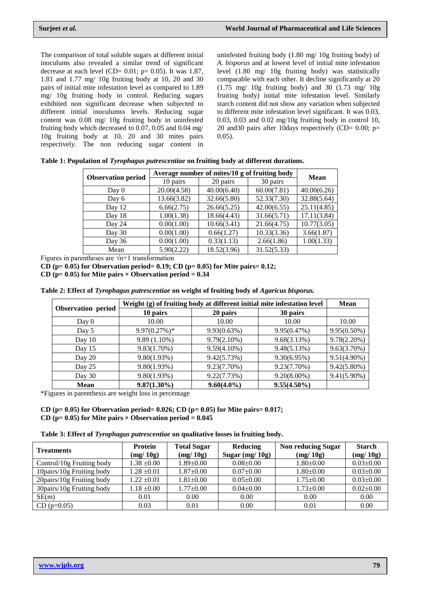The comparison of total soluble sugars at different initial inoculums also revealed a similar trend of significant decrease at each level (CD=  $0.01$ ; p=  $0.05$ ). It was 1.87, 1.81 and 1.77 mg/ 10g fruiting body at 10, 20 and 30 pairs of initial mite infestation level as compared to 1.89 mg/ 10g fruiting body in control. Reducing sugars exhibited non significant decrease when subjected to different initial inoculumss levels. Reducing sugar content was 0.08 mg/ 10g fruiting body in uninfested fruiting body which decreased to 0.07, 0.05 and 0.04 mg/ 10g fruiting body at 10, 20 and 30 mites pairs respectively. The non reducing sugar content in

uninfested fruiting body (1.80 mg/ 10g fruiting body) of *A. bisporus* and at lowest level of initial mite infestation level (1.80 mg/ 10g fruiting body) was statistically comparable with each other. It decline significantly at 20  $(1.75 \text{ mg}/10)$ g fruiting body) and 30  $(1.73 \text{ mg}/10)$ fruiting body) initial mite infestation level. Similarly starch content did not show any variation when subjected to different mite infestation level significant. It was 0.03, 0.03, 0.03 and 0.02 mg/10g fruiting body in control 10, 20 and 30 pairs after 10 days respectively (CD=  $0.00$ ; p= 0.05).

|                           | Average number of mites/10 g of fruiting body |             |             |             |
|---------------------------|-----------------------------------------------|-------------|-------------|-------------|
| <b>Observation period</b> | 10 pairs                                      | 20 pairs    | 30 pairs    | Mean        |
| Day 0                     | 20.00(4.58)                                   | 40.00(6.40) | 60.00(7.81) | 40.00(6.26) |
| Day 6                     | 13.66(3.82)                                   | 32.66(5.80) | 52.33(7.30) | 32.88(5.64) |
| Day 12                    | 6.66(2.75)                                    | 26.66(5.25) | 42.00(6.55) | 25.11(4.85) |
| Day 18                    | 1.00(1.38)                                    | 18.66(4.43) | 31.66(5.71) | 17.11(3.84) |
| Day 24                    | 0.00(1.00)                                    | 10.66(3.41) | 21.66(4.75) | 10.77(3.05) |
| Day 30                    | 0.00(1.00)                                    | 0.66(1.27)  | 10.33(3.36) | 3.66(1.87)  |
| Day 36                    | 0.00(1.00)                                    | 0.33(1.13)  | 2.66(1.86)  | 1.00(1.33)  |
| Mean                      | 5.90(2.22)                                    | 18.52(3.96) | 31.52(5.33) |             |

**Table 1: Population of** *Tyrophagus putrescentiae* **on fruiting body at different durations.**

Figures in parentheses are  $\sqrt{n+1}$  transformation

**CD (p= 0.05) for Observation period= 0.19; CD (p= 0.05) for Mite pairs= 0.12;** 

CD ( $p= 0.05$ ) for Mite pairs  $\times$  Observation period = 0.34

| Table 2: Effect of Tyrophagus putrescentiae on weight of fruiting body of Agaricus bisporus. |
|----------------------------------------------------------------------------------------------|
|----------------------------------------------------------------------------------------------|

| Observation period | Weight (g) of fruiting body at different initial mite infestation level | Mean           |                |                |
|--------------------|-------------------------------------------------------------------------|----------------|----------------|----------------|
|                    | 10 pairs                                                                | 20 pairs       | 30 pairs       |                |
| Day $0$            | 10.00                                                                   | 10.00          | 10.00          | 10.00          |
| Day 5              | $9.97(0.27%)$ *                                                         | 9.93(0.63%)    | 9.95(0.47%)    | $9.95(0.50\%)$ |
| Day 10             | $9.89(1.10\%)$                                                          | $9.79(2.10\%)$ | 9.68(3.13%)    | $9.78(2.20\%)$ |
| Day 15             | $9.83(1.70\%)$                                                          | $9.59(4.10\%)$ | 9.48(5.13%)    | 9.63(3.70%)    |
| Day 20             | 9.80(1.93%)                                                             | 9.42(5.73%)    | 9.30(6.95%)    | $9.51(4.90\%)$ |
| Day 25             | 9.80(1.93%)                                                             | $9.23(7.70\%)$ | $9.23(7.70\%)$ | $9.42(5.80\%)$ |
| Day 30             | 9.80(1.93%)                                                             | 9.22(7.73%)    | $9.20(8.00\%)$ | $9.41(5.90\%)$ |
| <b>Mean</b>        | $9.87(1.30\%)$                                                          | $9.60(4.0\%)$  | $9.55(4.50\%)$ |                |

\*Figures in parenthesis are weight loss in percentage

**CD (p= 0.05) for Observation period= 0.026; CD (p= 0.05) for Mite pairs= 0.017;**  CD ( $p= 0.05$ ) for Mite pairs  $\times$  Observation period = 0.045

**Table 3: Effect of** *Tyrophagus putrescentiae* **on qualitative losses in fruiting body.**

| <b>Treatments</b>          | Protein<br>(mg/10g) | <b>Total Sugar</b><br>(mg/10g) | Reducing<br>Sugar $(mg/10g)$ | <b>Non reducing Sugar</b><br>(mg/10g) | <b>Starch</b><br>(mg/10g) |
|----------------------------|---------------------|--------------------------------|------------------------------|---------------------------------------|---------------------------|
| Control/10g Fruiting body  | $1.38 \pm 0.00$     | $1.89 \pm 0.00$                | $0.08 \pm 0.00$              | $1.80 \pm 0.00$                       | $0.03 \pm 0.00$           |
| 10 pairs/10g Fruiting body | $1.28 \pm 0.01$     | $1.87 \pm 0.00$                | $0.07+0.00$                  | $1.80+0.00$                           | $0.03 \pm 0.00$           |
| 20 pairs/10g Fruiting body | $1.22 \pm 0.01$     | $1.81 \pm 0.00$                | $0.05 \pm 0.00$              | $1.75 \pm 0.00$                       | $0.03 \pm 0.00$           |
| 30 pairs/10g Fruiting body | $1.18 \pm 0.00$     | $1.77 \pm 0.00$                | $0.04 \pm 0.00$              | $1.73 \pm 0.00$                       | $0.02 \pm 0.00$           |
| SE(m)                      | 0.01                | 0.00                           | 0.00                         | 0.00                                  | 0.00                      |
| $CD$ (p=0.05)              | 0.03                | 0.01                           | 0.00                         | 0.01                                  | 0.00                      |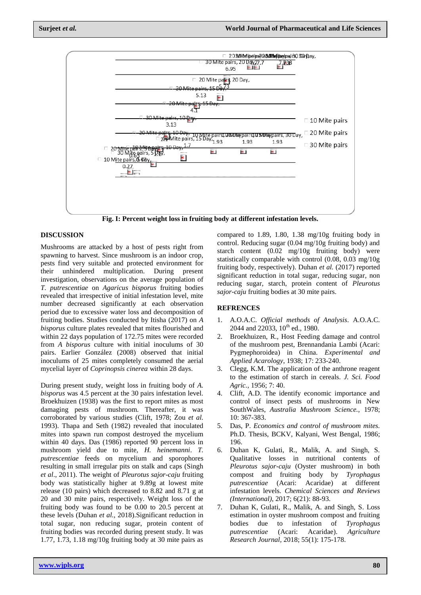

**Fig. I: Percent weight loss in fruiting body at different infestation levels.**

#### **DISCUSSION**

Mushrooms are attacked by a host of pests right from spawning to harvest. Since mushroom is an indoor crop, pests find very suitable and protected environment for their unhindered multiplication. During present investigation, observations on the average population of *T. putrescentiae* on *Agaricus bisporus* fruiting bodies revealed that irrespective of initial infestation level, mite number decreased significantly at each observation period due to excessive water loss and decomposition of fruiting bodies. Studies conducted by Itisha (2017) on *A bisporus* culture plates revealed that mites flourished and within 22 days population of 172.75 mites were recorded from *A bisporus* culture with initial inoculums of 30 pairs. Earlier González (2008) observed that initial inoculums of 25 mites completely consumed the aerial mycelial layer of *Coprinopsis cinerea* within 28 days.

During present study, weight loss in fruiting body of *A. bisporus* was 4.5 percent at the 30 pairs infestation level. Broekhuizen (1938) was the first to report mites as most damaging pests of mushroom. Thereafter, it was corroborated by various studies (Clift, 1978; Zou *et al.* 1993). Thapa and Seth (1982) revealed that inoculated mites into spawn run compost destroyed the mycelium within 40 days. Das (1986) reported 90 percent loss in mushroom yield due to mite, *H. heinemanni*. *T. putrescentiae* feeds on mycelium and sporophores resulting in small irregular pits on stalk and caps (Singh *et al*., 2011). The weight of *Pleurotus sajor-caju* fruiting body was statistically higher at 9.89g at lowest mite release (10 pairs) which decreased to 8.82 and 8.71 g at 20 and 30 mite pairs, respectively. Weight loss of the fruiting body was found to be 0.00 to 20.5 percent at these levels (Duhan *et al.,* 2018).Significant reduction in total sugar, non reducing sugar, protein content of fruiting bodies was recorded during present study. It was 1.77, 1.73, 1.18 mg/10g fruiting body at 30 mite pairs as

compared to 1.89, 1.80, 1.38 mg/10g fruiting body in control. Reducing sugar (0.04 mg/10g fruiting body) and starch content (0.02 mg/10g fruiting body) were statistically comparable with control (0.08, 0.03 mg/10g fruiting body, respectively). Duhan *et al.* (2017) reported significant reduction in total sugar, reducing sugar, non reducing sugar, starch, protein content of *Pleurotus sajor-caju* fruiting bodies at 30 mite pairs.

## **REFRENCES**

- 1. A.O.A.C. *Official methods of Analysis*. A.O.A.C. 2044 and 22033, 10<sup>th</sup> ed., 1980.
- 2. Broekhuizen, R., Host Feeding damage and control of the mushroom pest, Brennandania Lambi (Acari: Pygmephoroidea) in China. *Experimental and Applied Acarology*, 1938; 17: 233-240.
- 3. Clegg, K.M. The application of the anthrone reagent to the estimation of starch in cereals. *J. Sci. Food Agric.,* 1956; 7: 40.
- 4. Clift, A.D. The identify economic importance and control of insect pests of mushrooms in New SouthWales, *Australia Mushroom Science.,* 1978; 10: 367-383.
- 5. Das, P. *Economics and control of mushroom mites.* Ph.D. Thesis, BCKV, Kalyani, West Bengal, 1986; 196.
- 6. Duhan K, Gulati, R., Malik, A. and Singh, S. Qualitative losses in nutritional contents of *Pleurotus sajor-caju* (Oyster mushroom) in both compost and fruiting body by *Tyrophagus putrescentiae* (Acari: Acaridae) at different infestation levels. *Chemical Sciences and Reviews (International)*, 2017; 6(21): 88-93.
- 7. Duhan K, Gulati, R., Malik, A. and Singh, S. Loss estimation in oyster mushroom compost and fruiting bodies due to infestation of *Tyrophagus putrescentiae* (Acari: Acaridae). *Agriculture Research Journal,* 2018; 55(1): 175-178.